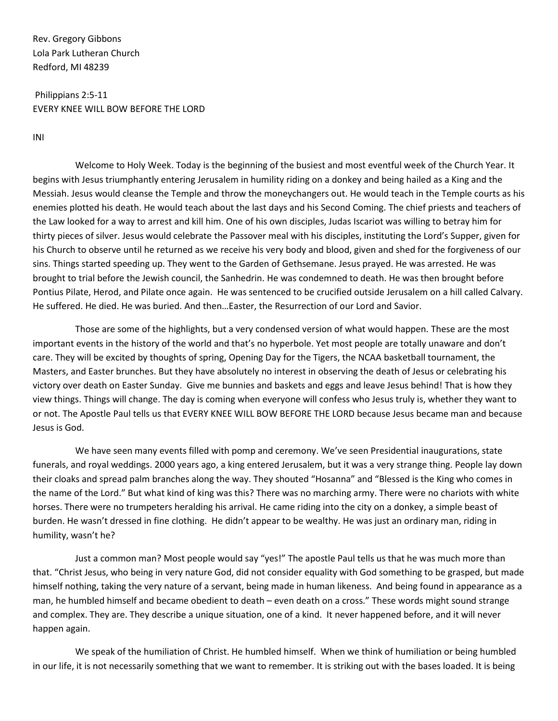Rev. Gregory Gibbons Lola Park Lutheran Church Redford, MI 48239

Philippians 2:5-11 EVERY KNEE WILL BOW BEFORE THE LORD

INI

Welcome to Holy Week. Today is the beginning of the busiest and most eventful week of the Church Year. It begins with Jesus triumphantly entering Jerusalem in humility riding on a donkey and being hailed as a King and the Messiah. Jesus would cleanse the Temple and throw the moneychangers out. He would teach in the Temple courts as his enemies plotted his death. He would teach about the last days and his Second Coming. The chief priests and teachers of the Law looked for a way to arrest and kill him. One of his own disciples, Judas Iscariot was willing to betray him for thirty pieces of silver. Jesus would celebrate the Passover meal with his disciples, instituting the Lord's Supper, given for his Church to observe until he returned as we receive his very body and blood, given and shed for the forgiveness of our sins. Things started speeding up. They went to the Garden of Gethsemane. Jesus prayed. He was arrested. He was brought to trial before the Jewish council, the Sanhedrin. He was condemned to death. He was then brought before Pontius Pilate, Herod, and Pilate once again. He was sentenced to be crucified outside Jerusalem on a hill called Calvary. He suffered. He died. He was buried. And then…Easter, the Resurrection of our Lord and Savior.

Those are some of the highlights, but a very condensed version of what would happen. These are the most important events in the history of the world and that's no hyperbole. Yet most people are totally unaware and don't care. They will be excited by thoughts of spring, Opening Day for the Tigers, the NCAA basketball tournament, the Masters, and Easter brunches. But they have absolutely no interest in observing the death of Jesus or celebrating his victory over death on Easter Sunday. Give me bunnies and baskets and eggs and leave Jesus behind! That is how they view things. Things will change. The day is coming when everyone will confess who Jesus truly is, whether they want to or not. The Apostle Paul tells us that EVERY KNEE WILL BOW BEFORE THE LORD because Jesus became man and because Jesus is God.

We have seen many events filled with pomp and ceremony. We've seen Presidential inaugurations, state funerals, and royal weddings. 2000 years ago, a king entered Jerusalem, but it was a very strange thing. People lay down their cloaks and spread palm branches along the way. They shouted "Hosanna" and "Blessed is the King who comes in the name of the Lord." But what kind of king was this? There was no marching army. There were no chariots with white horses. There were no trumpeters heralding his arrival. He came riding into the city on a donkey, a simple beast of burden. He wasn't dressed in fine clothing. He didn't appear to be wealthy. He was just an ordinary man, riding in humility, wasn't he?

Just a common man? Most people would say "yes!" The apostle Paul tells us that he was much more than that. "Christ Jesus, who being in very nature God, did not consider equality with God something to be grasped, but made himself nothing, taking the very nature of a servant, being made in human likeness. And being found in appearance as a man, he humbled himself and became obedient to death – even death on a cross." These words might sound strange and complex. They are. They describe a unique situation, one of a kind. It never happened before, and it will never happen again.

We speak of the humiliation of Christ. He humbled himself. When we think of humiliation or being humbled in our life, it is not necessarily something that we want to remember. It is striking out with the bases loaded. It is being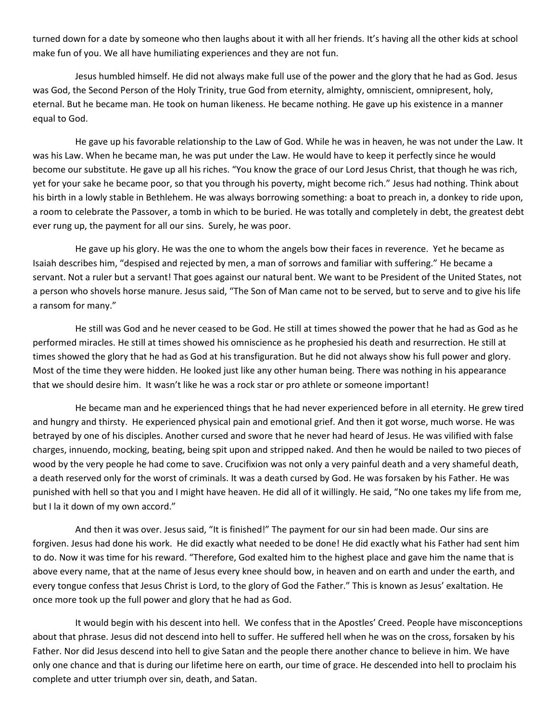turned down for a date by someone who then laughs about it with all her friends. It's having all the other kids at school make fun of you. We all have humiliating experiences and they are not fun.

Jesus humbled himself. He did not always make full use of the power and the glory that he had as God. Jesus was God, the Second Person of the Holy Trinity, true God from eternity, almighty, omniscient, omnipresent, holy, eternal. But he became man. He took on human likeness. He became nothing. He gave up his existence in a manner equal to God.

He gave up his favorable relationship to the Law of God. While he was in heaven, he was not under the Law. It was his Law. When he became man, he was put under the Law. He would have to keep it perfectly since he would become our substitute. He gave up all his riches. "You know the grace of our Lord Jesus Christ, that though he was rich, yet for your sake he became poor, so that you through his poverty, might become rich." Jesus had nothing. Think about his birth in a lowly stable in Bethlehem. He was always borrowing something: a boat to preach in, a donkey to ride upon, a room to celebrate the Passover, a tomb in which to be buried. He was totally and completely in debt, the greatest debt ever rung up, the payment for all our sins. Surely, he was poor.

He gave up his glory. He was the one to whom the angels bow their faces in reverence. Yet he became as Isaiah describes him, "despised and rejected by men, a man of sorrows and familiar with suffering." He became a servant. Not a ruler but a servant! That goes against our natural bent. We want to be President of the United States, not a person who shovels horse manure. Jesus said, "The Son of Man came not to be served, but to serve and to give his life a ransom for many."

He still was God and he never ceased to be God. He still at times showed the power that he had as God as he performed miracles. He still at times showed his omniscience as he prophesied his death and resurrection. He still at times showed the glory that he had as God at his transfiguration. But he did not always show his full power and glory. Most of the time they were hidden. He looked just like any other human being. There was nothing in his appearance that we should desire him. It wasn't like he was a rock star or pro athlete or someone important!

He became man and he experienced things that he had never experienced before in all eternity. He grew tired and hungry and thirsty. He experienced physical pain and emotional grief. And then it got worse, much worse. He was betrayed by one of his disciples. Another cursed and swore that he never had heard of Jesus. He was vilified with false charges, innuendo, mocking, beating, being spit upon and stripped naked. And then he would be nailed to two pieces of wood by the very people he had come to save. Crucifixion was not only a very painful death and a very shameful death, a death reserved only for the worst of criminals. It was a death cursed by God. He was forsaken by his Father. He was punished with hell so that you and I might have heaven. He did all of it willingly. He said, "No one takes my life from me, but I la it down of my own accord."

And then it was over. Jesus said, "It is finished!" The payment for our sin had been made. Our sins are forgiven. Jesus had done his work. He did exactly what needed to be done! He did exactly what his Father had sent him to do. Now it was time for his reward. "Therefore, God exalted him to the highest place and gave him the name that is above every name, that at the name of Jesus every knee should bow, in heaven and on earth and under the earth, and every tongue confess that Jesus Christ is Lord, to the glory of God the Father." This is known as Jesus' exaltation. He once more took up the full power and glory that he had as God.

It would begin with his descent into hell. We confess that in the Apostles' Creed. People have misconceptions about that phrase. Jesus did not descend into hell to suffer. He suffered hell when he was on the cross, forsaken by his Father. Nor did Jesus descend into hell to give Satan and the people there another chance to believe in him. We have only one chance and that is during our lifetime here on earth, our time of grace. He descended into hell to proclaim his complete and utter triumph over sin, death, and Satan.